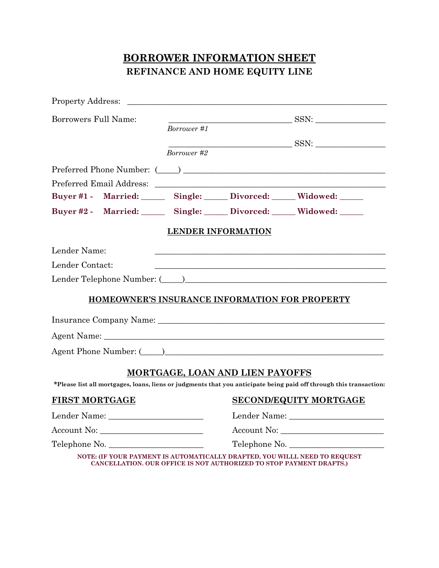# **BORROWER INFORMATION SHEET REFINANCE AND HOME EQUITY LINE**

|                       | Property Address: |             |                                                                                                                       |                                                                                                                                                                                                                                |
|-----------------------|-------------------|-------------|-----------------------------------------------------------------------------------------------------------------------|--------------------------------------------------------------------------------------------------------------------------------------------------------------------------------------------------------------------------------|
| Borrowers Full Name:  |                   |             |                                                                                                                       |                                                                                                                                                                                                                                |
|                       |                   | Borrower #1 |                                                                                                                       |                                                                                                                                                                                                                                |
|                       |                   |             |                                                                                                                       | SSN:                                                                                                                                                                                                                           |
|                       |                   | Borrower #2 |                                                                                                                       |                                                                                                                                                                                                                                |
|                       |                   |             |                                                                                                                       |                                                                                                                                                                                                                                |
|                       |                   |             |                                                                                                                       |                                                                                                                                                                                                                                |
|                       |                   |             |                                                                                                                       | Buyer #1 - Married: Single: Divorced: Widowed: ____                                                                                                                                                                            |
|                       |                   |             |                                                                                                                       | Buyer #2 - Married: Single: Divorced: Widowed: ____                                                                                                                                                                            |
|                       |                   |             | <b>LENDER INFORMATION</b>                                                                                             |                                                                                                                                                                                                                                |
| Lender Name:          |                   |             |                                                                                                                       |                                                                                                                                                                                                                                |
| Lender Contact:       |                   |             | <u> 1989 - Johann John Stone, markin film yn y brenin y brenin y brenin y brenin y brenin y brenin y brenin y bre</u> |                                                                                                                                                                                                                                |
|                       |                   |             |                                                                                                                       | Lender Telephone Number: (Comparison and Contract Comparison of Telephone Number: (Comparison and Comparison and Comparison and Comparison and Comparison and Comparison and Comparison and Comparison and Comparison and Comp |
|                       |                   |             |                                                                                                                       | HOMEOWNER'S INSURANCE INFORMATION FOR PROPERTY                                                                                                                                                                                 |
|                       |                   |             |                                                                                                                       |                                                                                                                                                                                                                                |
|                       |                   |             |                                                                                                                       |                                                                                                                                                                                                                                |
|                       |                   |             |                                                                                                                       | Agent Phone Number: (Call 2018)                                                                                                                                                                                                |
|                       |                   |             | <b>MORTGAGE, LOAN AND LIEN PAYOFFS</b>                                                                                |                                                                                                                                                                                                                                |
|                       |                   |             |                                                                                                                       | *Please list all mortgages, loans, liens or judgments that you anticipate being paid off through this transaction:                                                                                                             |
| <b>FIRST MORTGAGE</b> |                   |             | SECOND/EQUITY MORTGAGE                                                                                                |                                                                                                                                                                                                                                |
|                       |                   |             |                                                                                                                       |                                                                                                                                                                                                                                |
| Account No:           |                   |             | Account No:                                                                                                           |                                                                                                                                                                                                                                |
| Telephone No.         |                   |             | Telephone No.                                                                                                         |                                                                                                                                                                                                                                |
|                       |                   |             | <b>CANCELLATION. OUR OFFICE IS NOT AUTHORIZED TO STOP PAYMENT DRAFTS.)</b>                                            | NOTE: (IF YOUR PAYMENT IS AUTOMATICALLY DRAFTED, YOU WILLL NEED TO REQUEST                                                                                                                                                     |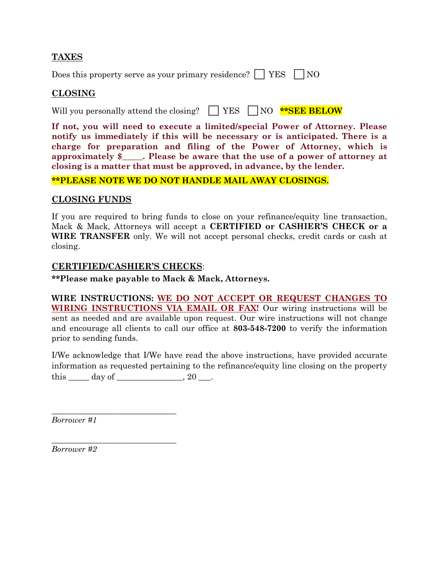## **TAXES**

Does this property serve as your primary residence?  $\Box$  YES  $\Box$  NO

## **CLOSING**

Will you personally attend the closing?  $\parallel$  | YES  $\parallel$  | NO \***\*SEE BELOW** 

**If not, you will need to execute a limited/special Power of Attorney. Please notify us immediately if this will be necessary or is anticipated. There is a charge for preparation and filing of the Power of Attorney, which is approximately \$\_\_\_\_\_. Please be aware that the use of a power of attorney at closing is a matter that must be approved, in advance, by the lender.**

#### **\*\*PLEASE NOTE WE DO NOT HANDLE MAIL AWAY CLOSINGS.**

### **CLOSING FUNDS**

If you are required to bring funds to close on your refinance/equity line transaction, Mack & Mack, Attorneys will accept a **CERTIFIED or CASHIER'S CHECK or a WIRE TRANSFER** only. We will not accept personal checks, credit cards or cash at closing.

### **CERTIFIED/CASHIER'S CHECKS**:

**\*\*Please make payable to Mack & Mack, Attorneys.**

**WIRE INSTRUCTIONS: WE DO NOT ACCEPT OR REQUEST CHANGES TO WIRING INSTRUCTIONS VIA EMAIL OR FAX!** Our wiring instructions will be sent as needed and are available upon request. Our wire instructions will not change and encourage all clients to call our office at **803-548-7200** to verify the information prior to sending funds.

I/We acknowledge that I/We have read the above instructions, have provided accurate information as requested pertaining to the refinance/equity line closing on the property this  $\rule{1em}{0.15mm}$  day of  $\rule{1em}{0.15mm}$  and  $\rule{1em}{0.15mm}$  and  $\rule{1em}{0.15mm}$  and  $\rule{1em}{0.15mm}$  and  $\rule{1em}{0.15mm}$  and  $\rule{1em}{0.15mm}$  and  $\rule{1em}{0.15mm}$  and  $\rule{1em}{0.15mm}$  and  $\rule{1em}{0.15mm}$  and  $\rule{1em}{0.15mm}$  and  $\rule{$ 

*Borrower #1*

 $\frac{1}{2}$  , and the set of the set of the set of the set of the set of the set of the set of the set of the set of the set of the set of the set of the set of the set of the set of the set of the set of the set of the set

 $\frac{1}{2}$  , and the set of the set of the set of the set of the set of the set of the set of the set of the set of the set of the set of the set of the set of the set of the set of the set of the set of the set of the set

*Borrower #2*